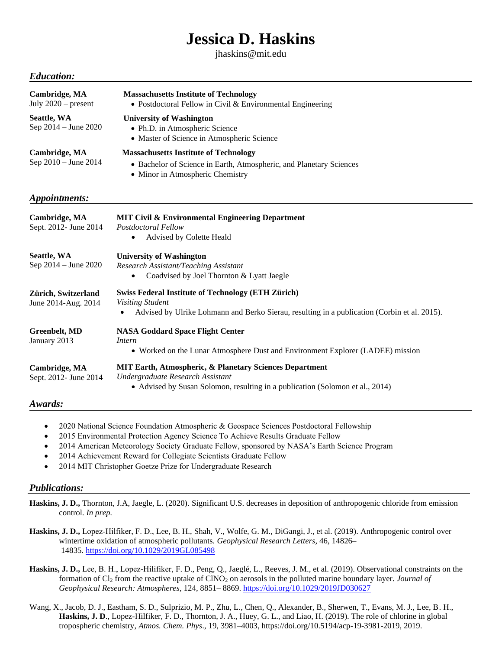## **Jessica D. Haskins**

jhaskins@mit.edu

## *Education:*

| Cambridge, MA<br>July $2020$ – present         | <b>Massachusetts Institute of Technology</b><br>• Postdoctoral Fellow in Civil & Environmental Engineering                                                                           |
|------------------------------------------------|--------------------------------------------------------------------------------------------------------------------------------------------------------------------------------------|
| Seattle, WA<br>Sep 2014 – June 2020            | <b>University of Washington</b><br>• Ph.D. in Atmospheric Science<br>• Master of Science in Atmospheric Science                                                                      |
| Cambridge, MA<br>Sep 2010 - June 2014          | <b>Massachusetts Institute of Technology</b><br>• Bachelor of Science in Earth, Atmospheric, and Planetary Sciences<br>• Minor in Atmospheric Chemistry                              |
| <i>Appointments:</i>                           |                                                                                                                                                                                      |
| Cambridge, MA<br>Sept. 2012- June 2014         | <b>MIT Civil &amp; Environmental Engineering Department</b><br>Postdoctoral Fellow<br>Advised by Colette Heald<br>$\bullet$                                                          |
| Seattle, WA<br>Sep 2014 - June 2020            | <b>University of Washington</b><br>Research Assistant/Teaching Assistant<br>Coadvised by Joel Thornton & Lyatt Jaegle                                                                |
| Zürich, Switzerland<br>June 2014-Aug. 2014     | <b>Swiss Federal Institute of Technology (ETH Zürich)</b><br><b>Visiting Student</b><br>Advised by Ulrike Lohmann and Berko Sierau, resulting in a publication (Corbin et al. 2015). |
| Greenbelt, MD<br>January 2013                  | <b>NASA Goddard Space Flight Center</b><br>Intern<br>• Worked on the Lunar Atmosphere Dust and Environment Explorer (LADEE) mission                                                  |
| <b>Cambridge</b> , MA<br>Sept. 2012- June 2014 | MIT Earth, Atmospheric, & Planetary Sciences Department<br>Undergraduate Research Assistant<br>• Advised by Susan Solomon, resulting in a publication (Solomon et al., 2014)         |
| Awards:                                        |                                                                                                                                                                                      |

- 2020 National Science Foundation Atmospheric & Geospace Sciences Postdoctoral Fellowship
- 2015 Environmental Protection Agency Science To Achieve Results Graduate Fellow
- 2014 American Meteorology Society Graduate Fellow, sponsored by NASA's Earth Science Program
- 2014 Achievement Reward for Collegiate Scientists Graduate Fellow
- 2014 MIT Christopher Goetze Prize for Undergraduate Research

## *Publications:*

- **Haskins, J. D.,** Thornton, J.A, Jaegle, L. (2020). Significant U.S. decreases in deposition of anthropogenic chloride from emission control*. In prep.*
- **Haskins, J. D.,** Lopez‐Hilfiker, F. D., Lee, B. H., Shah, V., Wolfe, G. M., DiGangi, J., et al. (2019). Anthropogenic control over wintertime oxidation of atmospheric pollutants. *Geophysical Research Letters*, 46, 14826– 14835. <https://doi.org/10.1029/2019GL085498>
- Haskins, J. D., Lee, B. H., Lopez-Hilifiker, F. D., Peng, Q., Jaeglé, L., Reeves, J. M., et al. (2019). Observational constraints on the formation of Cl<sup>2</sup> from the reactive uptake of ClNO<sup>2</sup> on aerosols in the polluted marine boundary layer. *Journal of Geophysical Research: Atmospheres*, 124, 8851– 8869[. https://doi.org/10.1029/2019JD030627](https://doi.org/10.1029/2019JD030627)
- Wang, X., Jacob, D. J., Eastham, S. D., Sulprizio, M. P., Zhu, L., Chen, Q., Alexander, B., Sherwen, T., Evans, M. J., Lee, B. H., **Haskins, J. D**., Lopez-Hilfiker, F. D., Thornton, J. A., Huey, G. L., and Liao, H. (2019). The role of chlorine in global tropospheric chemistry, *Atmos. Chem. Phys*., 19, 3981–4003, https://doi.org/10.5194/acp-19-3981-2019, 2019.